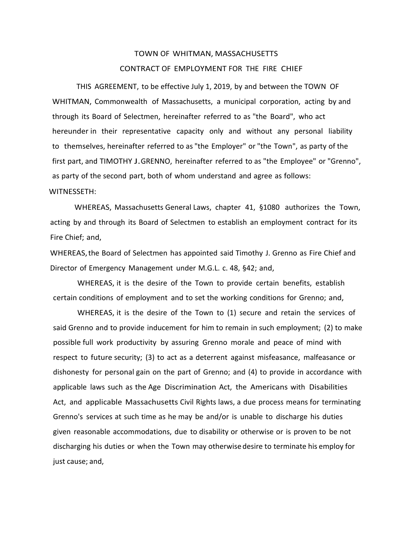# TOWN OF WHITMAN, MASSACHUSETTS CONTRACT OF EMPLOYMENT FOR THE FIRE CHIEF

THIS AGREEMENT, to be effective July 1, 2019, by and between the TOWN OF WHITMAN, Commonwealth of Massachusetts, a municipal corporation, acting by and through its Board of Selectmen, hereinafter referred to as "the Board", who act hereunder in their representative capacity only and without any personal liability to themselves, hereinafter referred to as "the Employer" or "the Town", as party of the first part, and TIMOTHY J. GRENNO, hereinafter referred to as "the Employee" or "Grenno", as party of the second part, both of whom understand and agree as follows:

## WITNESSETH:

WHEREAS, Massachusetts General Laws, chapter 41, §1080 authorizes the Town, acting by and through its Board of Selectmen to establish an employment contract for its Fire Chief; and,

WHEREAS, the Board of Selectmen has appointed said Timothy J. Grenno as Fire Chief and Director of Emergency Management under M.G.L. c. 48, §42; and,

WHEREAS, it is the desire of the Town to provide certain benefits, establish certain conditions of employment and to set the working conditions for Grenno; and,

WHEREAS, it is the desire of the Town to (1) secure and retain the services of said Grenno and to provide inducement for him to remain in such employment; (2) to make possible full work productivity by assuring Grenno morale and peace of mind with respect to future security; (3) to act as a deterrent against misfeasance, malfeasance or dishonesty for personal gain on the part of Grenno; and (4) to provide in accordance with applicable laws such as the Age Discrimination Act, the Americans with Disabilities Act, and applicable Massachusetts Civil Rights laws, a due process means for terminating Grenno's services at such time as he may be and/or is unable to discharge his duties given reasonable accommodations, due to disability or otherwise or is proven to be not discharging his duties or when the Town may otherwise desire to terminate his employ for just cause; and,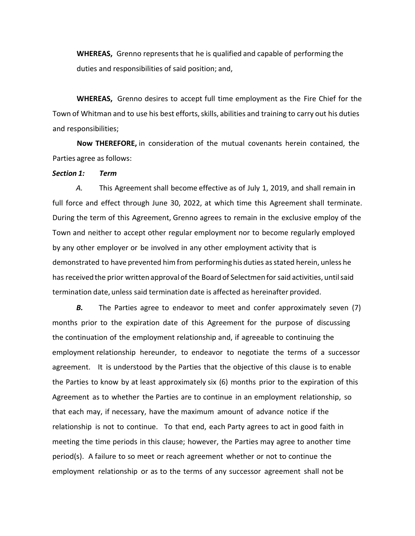**WHEREAS,** Grenno represents that he is qualified and capable of performing the duties and responsibilities of said position; and,

**WHEREAS,** Grenno desires to accept full time employment as the Fire Chief for the Town of Whitman and to use his best efforts, skills, abilities and training to carry out his duties and responsibilities;

**Now THEREFORE,** in consideration of the mutual covenants herein contained, the Parties agree as follows:

#### *Section 1: Term*

*A.*  This Agreement shall become effective as of July 1, 2019, and shall remain in full force and effect through June 30, 2022, at which time this Agreement shall terminate. During the term of this Agreement, Grenno agrees to remain in the exclusive employ of the Town and neither to accept other regular employment nor to become regularly employed by any other employer or be involved in any other employment activity that is demonstrated to have prevented him from performing his duties as stated herein, unless he has received the prior written approval of the Board of Selectmen for said activities, until said termination date, unless said termination date is affected as hereinafter provided.

**B.** The Parties agree to endeavor to meet and confer approximately seven (7) months prior to the expiration date of this Agreement for the purpose of discussing the continuation of the employment relationship and, if agreeable to continuing the employment relationship hereunder, to endeavor to negotiate the terms of a successor agreement. It is understood by the Parties that the objective of this clause is to enable the Parties to know by at least approximately six (6) months prior to the expiration of this Agreement as to whether the Parties are to continue in an employment relationship, so that each may, if necessary, have the maximum amount of advance notice if the relationship is not to continue. To that end, each Party agrees to act in good faith in meeting the time periods in this clause; however, the Parties may agree to another time period(s). A failure to so meet or reach agreement whether or not to continue the employment relationship or as to the terms of any successor agreement shall not be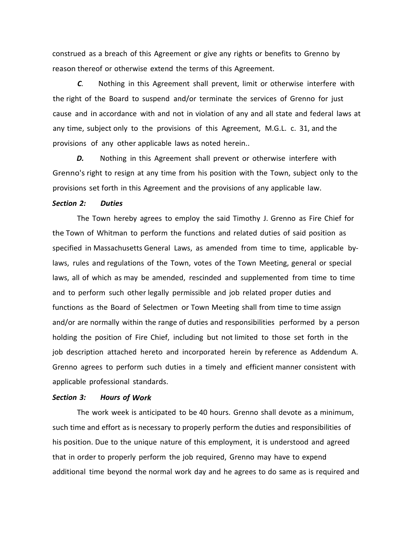construed as a breach of this Agreement or give any rights or benefits to Grenno by reason thereof or otherwise extend the terms of this Agreement.

*C.*  Nothing in this Agreement shall prevent, limit or otherwise interfere with the right of the Board to suspend and/or terminate the services of Grenno for just cause and in accordance with and not in violation of any and all state and federal laws at any time, subject only to the provisions of this Agreement, M.G.L. c. 31, and the provisions of any other applicable laws as noted herein..

*D.*  Nothing in this Agreement shall prevent or otherwise interfere with Grenno's right to resign at any time from his position with the Town, subject only to the provisions set forth in this Agreement and the provisions of any applicable law.

#### *Section 2: Duties*

The Town hereby agrees to employ the said Timothy J. Grenno as Fire Chief for the Town of Whitman to perform the functions and related duties of said position as specified in Massachusetts General Laws, as amended from time to time, applicable bylaws, rules and regulations of the Town, votes of the Town Meeting, general or special laws, all of which as may be amended, rescinded and supplemented from time to time and to perform such other legally permissible and job related proper duties and functions as the Board of Selectmen or Town Meeting shall from time to time assign and/or are normally within the range of duties and responsibilities performed by a person holding the position of Fire Chief, including but not limited to those set forth in the job description attached hereto and incorporated herein by reference as Addendum A. Grenno agrees to perform such duties in a timely and efficient manner consistent with applicable professional standards.

#### *Section 3: Hours of Work*

The work week is anticipated to be 40 hours. Grenno shall devote as a minimum, such time and effort as is necessary to properly perform the duties and responsibilities of his position. Due to the unique nature of this employment, it is understood and agreed that in order to properly perform the job required, Grenno may have to expend additional time beyond the normal work day and he agrees to do same as is required and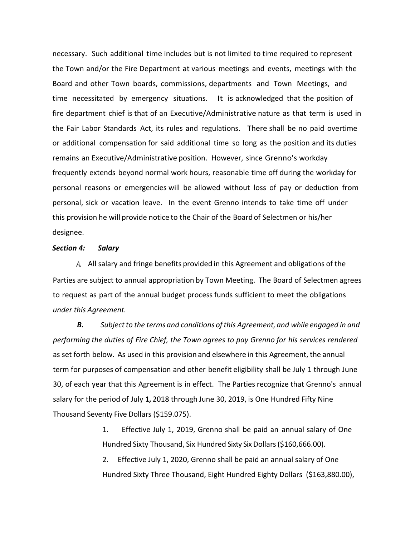necessary. Such additional time includes but is not limited to time required to represent the Town and/or the Fire Department at various meetings and events, meetings with the Board and other Town boards, commissions, departments and Town Meetings, and time necessitated by emergency situations. It is acknowledged that the position of fire department chief is that of an Executive/Administrative nature as that term is used in the Fair Labor Standards Act, its rules and regulations. There shall be no paid overtime or additional compensation for said additional time so long as the position and its duties remains an Executive/Administrative position. However, since Grenno's workday frequently extends beyond normal work hours, reasonable time off during the workday for personal reasons or emergencies will be allowed without loss of pay or deduction from personal, sick or vacation leave. In the event Grenno intends to take time off under this provision he will provide notice to the Chair of the Board of Selectmen or his/her designee.

### *Section 4: Salary*

A. All salary and fringe benefits provided in this Agreement and obligations of the Parties are subject to annual appropriation by Town Meeting. The Board of Selectmen agrees to request as part of the annual budget process funds sufficient to meet the obligations *under this Agreement.* 

*B. Subject to the terms and conditions of this Agreement, and while engaged in and performing the duties of Fire Chief, the Town agrees to pay Grenno for his services rendered* as set forth below. As used in this provision and elsewhere in this Agreement, the annual term for purposes of compensation and other benefit eligibility shall be July 1 through June 30, of each year that this Agreement is in effect. The Parties recognize that Grenno's annual salary for the period of July **1,** 2018 through June 30, 2019, is One Hundred Fifty Nine Thousand Seventy Five Dollars (\$159.075).

> 1. Effective July 1, 2019, Grenno shall be paid an annual salary of One Hundred Sixty Thousand, Six Hundred Sixty Six Dollars (\$160,666.00).

> 2. Effective July 1, 2020, Grenno shall be paid an annual salary of One Hundred Sixty Three Thousand, Eight Hundred Eighty Dollars (\$163,880.00),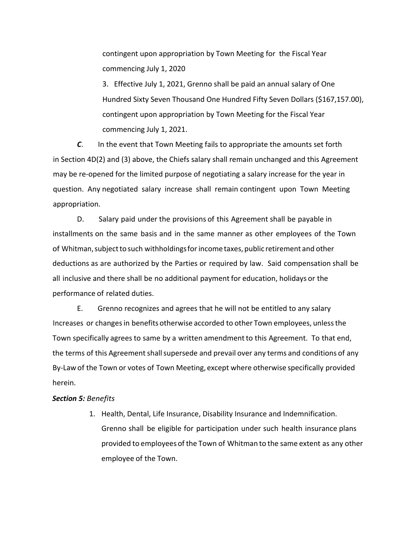contingent upon appropriation by Town Meeting for the Fiscal Year commencing July 1, 2020

3. Effective July 1, 2021, Grenno shall be paid an annual salary of One Hundred Sixty Seven Thousand One Hundred Fifty Seven Dollars (\$167,157.00), contingent upon appropriation by Town Meeting for the Fiscal Year commencing July 1, 2021.

*C*. In the event that Town Meeting fails to appropriate the amounts set forth in Section 4D(2) and (3) above, the Chiefs salary shall remain unchanged and this Agreement may be re‐opened for the limited purpose of negotiating a salary increase for the year in question. Any negotiated salary increase shall remain contingent upon Town Meeting appropriation.

D. Salary paid under the provisions of this Agreement shall be payable in installments on the same basis and in the same manner as other employees of the Town of Whitman, subject to such withholdings for income taxes, public retirement and other deductions as are authorized by the Parties or required by law. Said compensation shall be all inclusive and there shall be no additional payment for education, holidays or the performance of related duties.

E. Grenno recognizes and agrees that he will not be entitled to any salary Increases or changes in benefits otherwise accorded to other Town employees, unless the Town specifically agrees to same by a written amendment to this Agreement. To that end, the terms of this Agreement shall supersede and prevail over any terms and conditions of any By-Law of the Town or votes of Town Meeting, except where otherwise specifically provided herein.

## *Section 5: Benefits*

1. Health, Dental, Life Insurance, Disability Insurance and Indemnification. Grenno shall be eligible for participation under such health insurance plans provided to employees of the Town of Whitman to the same extent as any other employee of the Town.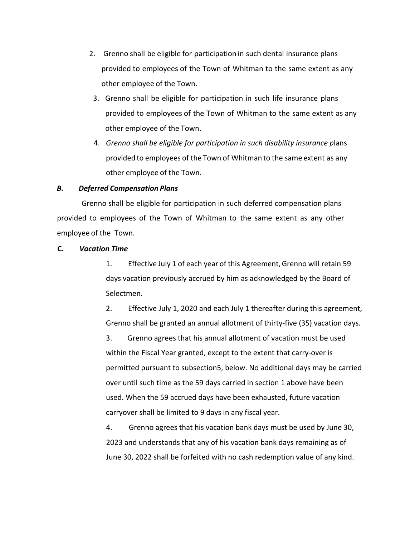- 2. Grenno shall be eligible for participation in such dental insurance plans provided to employees of the Town of Whitman to the same extent as any other employee of the Town.
- 3. Grenno shall be eligible for participation in such life insurance plans provided to employees of the Town of Whitman to the same extent as any other employee of the Town.
- 4. *Grenno shall be eligible for participation in such disability insurance p*lans provided to employees of the Town of Whitman to the same extent as any other employee of the Town.

## *B. Deferred Compensation Plans*

Grenno shall be eligible for participation in such deferred compensation plans provided to employees of the Town of Whitman to the same extent as any other employee of the Town.

## **C.** *Vacation Time*

1. Effective July 1 of each year of this Agreement, Grenno will retain 59 days vacation previously accrued by him as acknowledged by the Board of Selectmen.

2. Effective July 1, 2020 and each July 1 thereafter during this agreement, Grenno shall be granted an annual allotment of thirty‐five (35) vacation days.

3. Grenno agrees that his annual allotment of vacation must be used within the Fiscal Year granted, except to the extent that carry-over is permitted pursuant to subsection5, below. No additional days may be carried over until such time as the 59 days carried in section 1 above have been used. When the 59 accrued days have been exhausted, future vacation carryover shall be limited to 9 days in any fiscal year.

4. Grenno agrees that his vacation bank days must be used by June 30, 2023 and understands that any of his vacation bank days remaining as of June 30, 2022 shall be forfeited with no cash redemption value of any kind.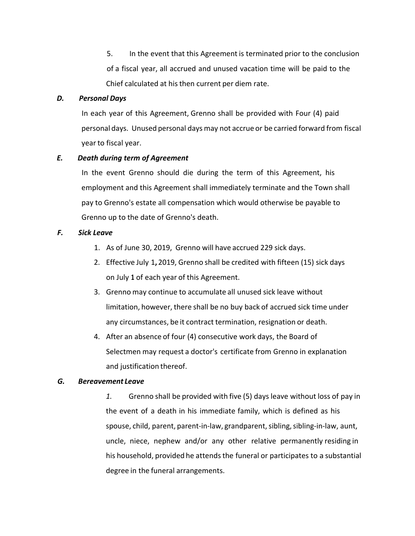5. In the event that this Agreement is terminated prior to the conclusion of a fiscal year, all accrued and unused vacation time will be paid to the Chief calculated at his then current per diem rate.

## *D. Personal Days*

In each year of this Agreement, Grenno shall be provided with Four (4) paid personal days. Unused personal days may not accrue or be carried forward from fiscal year to fiscal year.

## *E. Death during term of Agreement*

In the event Grenno should die during the term of this Agreement, his employment and this Agreement shall immediately terminate and the Town shall pay to Grenno's estate all compensation which would otherwise be payable to Grenno up to the date of Grenno's death.

## *F. Sick Leave*

- 1. As of June 30, 2019, Grenno will have accrued 229 sick days.
- 2. Effective July 1**,** 2019, Grenno shall be credited with fifteen (15) sick days on July **1** of each year of this Agreement.
- 3. Grenno may continue to accumulate all unused sick leave without limitation, however, there shall be no buy back of accrued sick time under any circumstances, be it contract termination, resignation or death.
- 4. After an absence of four (4) consecutive work days, the Board of Selectmen may request a doctor's certificate from Grenno in explanation and justification thereof.

## *G. Bereavement Leave*

*1.* Grenno shall be provided with five (5) days leave without loss of pay in the event of a death in his immediate family, which is defined as his spouse, child, parent, parent‐in‐law, grandparent, sibling, sibling‐in‐law, aunt, uncle, niece, nephew and/or any other relative permanently residing in his household, provided he attends the funeral or participates to a substantial degree in the funeral arrangements.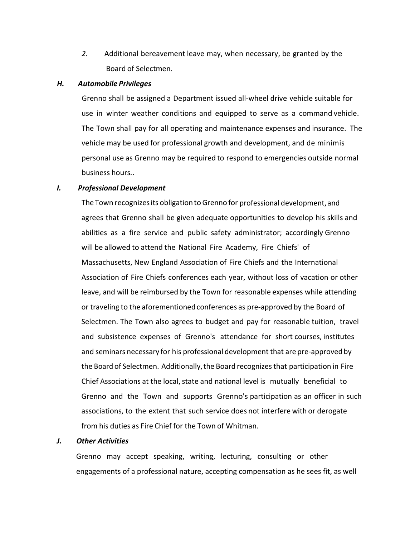*2.* Additional bereavement leave may, when necessary, be granted by the Board of Selectmen.

#### *H. Automobile Privileges*

Grenno shall be assigned a Department issued all‐wheel drive vehicle suitable for use in winter weather conditions and equipped to serve as a command vehicle. The Town shall pay for all operating and maintenance expenses and insurance. The vehicle may be used for professional growth and development, and de minimis personal use as Grenno may be required to respond to emergencies outside normal business hours..

### *I. Professional Development*

The Town recognizes its obligation to Grenno for professional development, and agrees that Grenno shall be given adequate opportunities to develop his skills and abilities as a fire service and public safety administrator; accordingly Grenno will be allowed to attend the National Fire Academy, Fire Chiefs' of Massachusetts, New England Association of Fire Chiefs and the International Association of Fire Chiefs conferences each year, without loss of vacation or other leave, and will be reimbursed by the Town for reasonable expenses while attending or traveling to the aforementioned conferences as pre‐approved by the Board of Selectmen. The Town also agrees to budget and pay for reasonable tuition, travel and subsistence expenses of Grenno's attendance for short courses, institutes and seminars necessary for his professional development that are pre‐approved by the Board of Selectmen. Additionally, the Board recognizes that participation in Fire Chief Associations at the local, state and national level is mutually beneficial to Grenno and the Town and supports Grenno's participation as an officer in such associations, to the extent that such service does not interfere with or derogate from his duties as Fire Chief for the Town of Whitman.

### *J. Other Activities*

Grenno may accept speaking, writing, lecturing, consulting or other engagements of a professional nature, accepting compensation as he sees fit, as well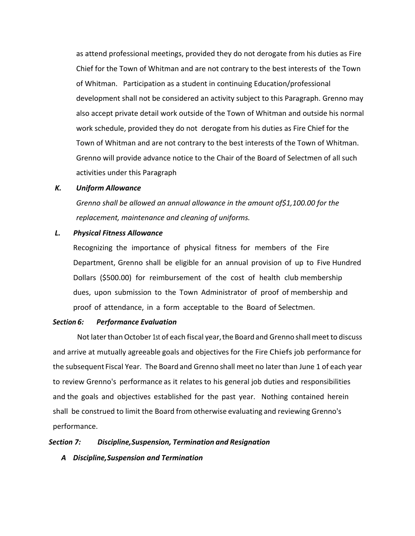as attend professional meetings, provided they do not derogate from his duties as Fire Chief for the Town of Whitman and are not contrary to the best interests of the Town of Whitman. Participation as a student in continuing Education/professional development shall not be considered an activity subject to this Paragraph. Grenno may also accept private detail work outside of the Town of Whitman and outside his normal work schedule, provided they do not derogate from his duties as Fire Chief for the Town of Whitman and are not contrary to the best interests of the Town of Whitman. Grenno will provide advance notice to the Chair of the Board of Selectmen of all such activities under this Paragraph

### *K. Uniform Allowance*

*Grenno shall be allowed an annual allowance in the amount of\$1,100.00 for the replacement, maintenance and cleaning of uniforms.* 

## *L. Physical Fitness Allowance*

Recognizing the importance of physical fitness for members of the Fire Department, Grenno shall be eligible for an annual provision of up to Five Hundred Dollars (\$500.00) for reimbursement of the cost of health club membership dues, upon submission to the Town Administrator of proof of membership and proof of attendance, in a form acceptable to the Board of Selectmen.

## *Section 6: Performance Evaluation*

Not later than October 1st of each fiscal year, the Board and Grenno shall meet to discuss and arrive at mutually agreeable goals and objectives for the Fire Chiefs job performance for the subsequent Fiscal Year. The Board and Grenno shall meet no later than June 1 of each year to review Grenno's performance as it relates to his general job duties and responsibilities and the goals and objectives established for the past year. Nothing contained herein shall be construed to limit the Board from otherwise evaluating and reviewing Grenno's performance.

#### *Section 7: Discipline, Suspension, Termination and Resignation*

## *A Discipline, Suspension and Termination*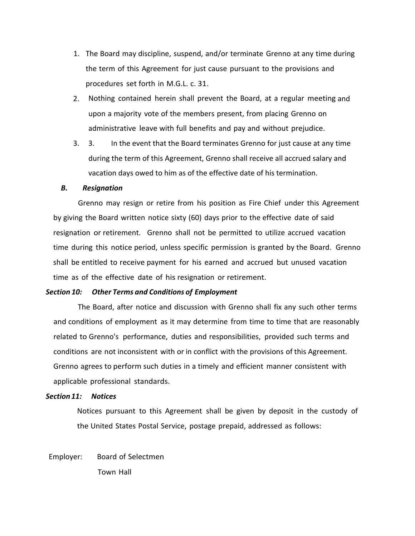- 1. The Board may discipline, suspend, and/or terminate Grenno at any time during the term of this Agreement for just cause pursuant to the provisions and procedures set forth in M.G.L. c. 31.
- 2. Nothing contained herein shall prevent the Board, at a regular meeting and upon a majority vote of the members present, from placing Grenno on administrative leave with full benefits and pay and without prejudice.
- 3. 3. In the event that the Board terminates Grenno for just cause at any time during the term of this Agreement, Grenno shall receive all accrued salary and vacation days owed to him as of the effective date of his termination.

### *B. Resignation*

Grenno may resign or retire from his position as Fire Chief under this Agreement by giving the Board written notice sixty (60) days prior to the effective date of said resignation or retirement. Grenno shall not be permitted to utilize accrued vacation time during this notice period, unless specific permission is granted by the Board. Grenno shall be entitled to receive payment for his earned and accrued but unused vacation time as of the effective date of his resignation or retirement.

## *Section 10: Other Terms and Conditions of Employment*

The Board, after notice and discussion with Grenno shall fix any such other terms and conditions of employment as it may determine from time to time that are reasonably related to Grenno's performance, duties and responsibilities, provided such terms and conditions are not inconsistent with or in conflict with the provisions of this Agreement. Grenno agrees to perform such duties in a timely and efficient manner consistent with applicable professional standards.

## *Section 11: Notices*

Notices pursuant to this Agreement shall be given by deposit in the custody of the United States Postal Service, postage prepaid, addressed as follows:

Employer: Board of Selectmen Town Hall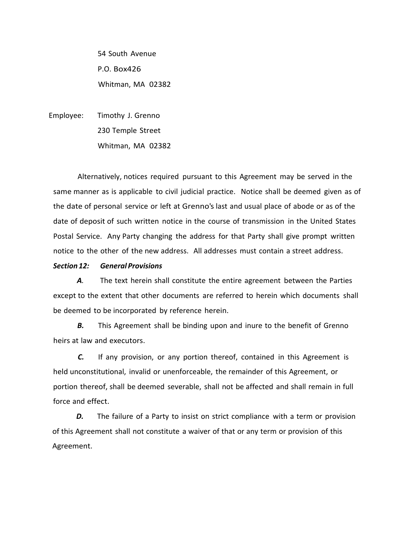54 South Avenue P.O. Box426 Whitman, MA 02382

Employee: Timothy J. Grenno 230 Temple Street Whitman, MA 02382

Alternatively, notices required pursuant to this Agreement may be served in the same manner as is applicable to civil judicial practice. Notice shall be deemed given as of the date of personal service or left at Grenno's last and usual place of abode or as of the date of deposit of such written notice in the course of transmission in the United States Postal Service. Any Party changing the address for that Party shall give prompt written notice to the other of the new address. All addresses must contain a street address.

## *Section 12: General Provisions*

*A.*  The text herein shall constitute the entire agreement between the Parties except to the extent that other documents are referred to herein which documents shall be deemed to be incorporated by reference herein.

**B.** This Agreement shall be binding upon and inure to the benefit of Grenno heirs at law and executors.

**C.** If any provision, or any portion thereof, contained in this Agreement is held unconstitutional, invalid or unenforceable, the remainder of this Agreement, or portion thereof, shall be deemed severable, shall not be affected and shall remain in full force and effect.

**D.** The failure of a Party to insist on strict compliance with a term or provision of this Agreement shall not constitute a waiver of that or any term or provision of this Agreement.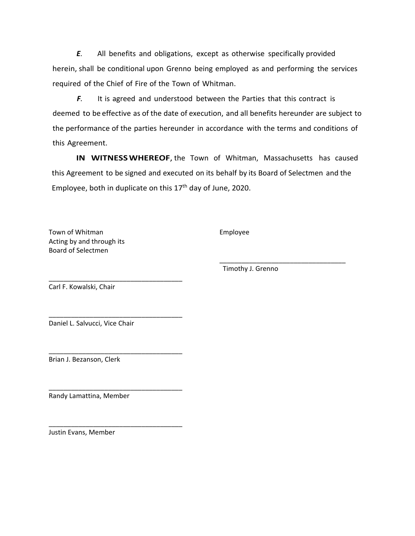*E*. All benefits and obligations, except as otherwise specifically provided herein, shall be conditional upon Grenno being employed as and performing the services required of the Chief of Fire of the Town of Whitman.

*F*. It is agreed and understood between the Parties that this contract is deemed to be effective as of the date of execution, and all benefits hereunder are subject to the performance of the parties hereunder in accordance with the terms and conditions of this Agreement.

**IN WITNESS WHEREOF**, the Town of Whitman, Massachusetts has caused this Agreement to be signed and executed on its behalf by its Board of Selectmen and the Employee, both in duplicate on this  $17<sup>th</sup>$  day of June, 2020.

\_\_\_\_\_\_\_\_\_\_\_\_\_\_\_\_\_\_\_\_\_\_\_\_\_\_\_\_\_\_\_\_\_\_

Town of Whitman **Employee** Acting by and through its Board of Selectmen

Timothy J. Grenno

Carl F. Kowalski, Chair

Daniel L. Salvucci, Vice Chair

\_\_\_\_\_\_\_\_\_\_\_\_\_\_\_\_\_\_\_\_\_\_\_\_\_\_\_\_\_\_\_\_\_\_\_\_

\_\_\_\_\_\_\_\_\_\_\_\_\_\_\_\_\_\_\_\_\_\_\_\_\_\_\_\_\_\_\_\_\_\_\_\_

\_\_\_\_\_\_\_\_\_\_\_\_\_\_\_\_\_\_\_\_\_\_\_\_\_\_\_\_\_\_\_\_\_\_\_\_

\_\_\_\_\_\_\_\_\_\_\_\_\_\_\_\_\_\_\_\_\_\_\_\_\_\_\_\_\_\_\_\_\_\_\_\_

\_\_\_\_\_\_\_\_\_\_\_\_\_\_\_\_\_\_\_\_\_\_\_\_\_\_\_\_\_\_\_\_\_\_\_\_ Brian J. Bezanson, Clerk

Randy Lamattina, Member

Justin Evans, Member